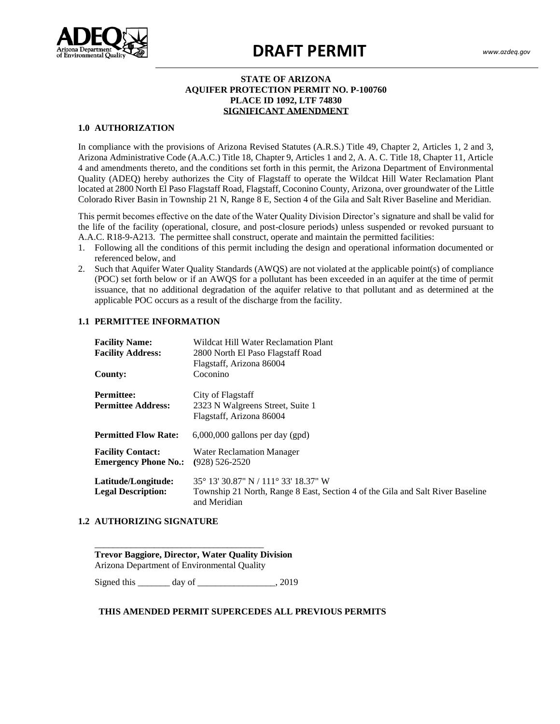

# **DRAFT PERMIT** *www.azdeq.gov*

#### **STATE OF ARIZONA AQUIFER PROTECTION PERMIT NO. P-100760 PLACE ID 1092, LTF 74830 SIGNIFICANT AMENDMENT**

#### **1.0 AUTHORIZATION**

 $\frac{1}{2}$ Quality (ADEQ) hereby authorizes the City of Flagstaff to operate the Wildcat Hill Water Reclamation Plant ocated at 2000 North ETT aso Fiagstan Road, Fiagstan, Cocolino County, Anzona, over groundwater of the Entier<br>Colorado River Basin in Township 21 N, Range 8 E, Section 4 of the Gila and Salt River Baseline and Meridian. In compliance with the provisions of Arizona Revised Statutes (A.R.S.) Title 49, Chapter 2, Articles 1, 2 and 3, Arizona Administrative Code (A.A.C.) Title 18, Chapter 9, Articles 1 and 2, A. A. C. Title 18, Chapter 11, Article 4 and amendments thereto, and the conditions set forth in this permit, the Arizona Department of Environmental located at 2800 North El Paso Flagstaff Road, Flagstaff, Coconino County, Arizona, over groundwater of the Little

the life of the facility (operational, closure, and post-closure periods) unless suspended or revoked pursuant to This permit becomes effective on the date of the Water Quality Division Director's signature and shall be valid for A.A.C. R18-9-A213. The permittee shall construct, operate and maintain the permitted facilities:

- 1. Following all the conditions of this permit including the design and operational information documented or referenced below, and
- 2. Such that Aquifer Water Quality Standards (AWQS) are not violated at the applicable point(s) of compliance (POC) set forth below or if an AWQS for a pollutant has been exceeded in an aquifer at the time of permit issuance, that no additional degradation of the aquifer relative to that pollutant and as determined at the applicable POC occurs as a result of the discharge from the facility.

#### **1.1 PERMITTEE INFORMATION**

| <b>Facility Name:</b>       | Wildcat Hill Water Reclamation Plant                                                           |
|-----------------------------|------------------------------------------------------------------------------------------------|
| <b>Facility Address:</b>    | 2800 North El Paso Flagstaff Road                                                              |
|                             | Flagstaff, Arizona 86004                                                                       |
| County:                     | Coconino                                                                                       |
| <b>Permittee:</b>           | City of Flagstaff                                                                              |
| <b>Permittee Address:</b>   | 2323 N Walgreens Street, Suite 1                                                               |
|                             | Flagstaff, Arizona 86004                                                                       |
| <b>Permitted Flow Rate:</b> | $6,000,000$ gallons per day (gpd)                                                              |
| <b>Facility Contact:</b>    | <b>Water Reclamation Manager</b>                                                               |
| <b>Emergency Phone No.:</b> | $(928)$ 526-2520                                                                               |
| Latitude/Longitude:         | 35° 13′ 30.87″ N / 111° 33′ 18.37″ W                                                           |
| <b>Legal Description:</b>   | Township 21 North, Range 8 East, Section 4 of the Gila and Salt River Baseline<br>and Meridian |

#### **1.2 AUTHORIZING SIGNATURE**

# **Trevor Baggiore, Director, Water Quality Division** Arizona Department of Environmental Quality

\_\_\_\_\_\_\_\_\_\_\_\_\_\_\_\_\_\_\_\_\_\_\_\_\_\_\_\_\_\_\_\_\_\_\_\_\_

Signed this \_\_\_\_\_\_\_\_ day of \_\_\_\_\_\_\_\_\_\_\_\_\_\_\_\_\_, 2019

#### **THIS AMENDED PERMIT SUPERCEDES ALL PREVIOUS PERMITS**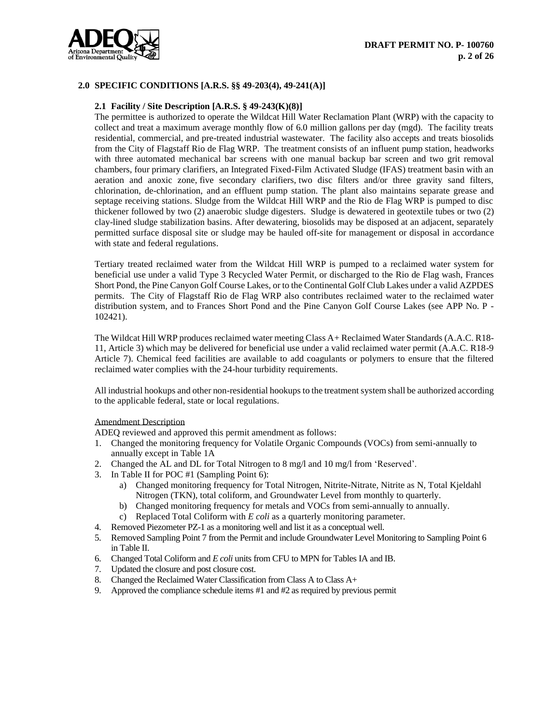

# **2.0 SPECIFIC CONDITIONS [A.R.S. §§ 49-203(4), 49-241(A)]**

## **2.1 Facility / Site Description [A.R.S. § 49-243(K)(8)]**

The permittee is authorized to operate the Wildcat Hill Water Reclamation Plant (WRP) with the capacity to collect and treat a maximum average monthly flow of 6.0 million gallons per day (mgd). The facility treats residential, commercial, and pre-treated industrial wastewater. The facility also accepts and treats biosolids from the City of Flagstaff Rio de Flag WRP. The treatment consists of an influent pump station, headworks with three automated mechanical bar screens with one manual backup bar screen and two grit removal chambers, four primary clarifiers, an Integrated Fixed-Film Activated Sludge (IFAS) treatment basin with an aeration and anoxic zone, five secondary clarifiers, two disc filters and/or three gravity sand filters, chlorination, de-chlorination, and an effluent pump station. The plant also maintains separate grease and septage receiving stations. Sludge from the Wildcat Hill WRP and the Rio de Flag WRP is pumped to disc thickener followed by two (2) anaerobic sludge digesters. Sludge is dewatered in geotextile tubes or two (2) clay-lined sludge stabilization basins. After dewatering, biosolids may be disposed at an adjacent, separately permitted surface disposal site or sludge may be hauled off-site for management or disposal in accordance with state and federal regulations.

Tertiary treated reclaimed water from the Wildcat Hill WRP is pumped to a reclaimed water system for beneficial use under a valid Type 3 Recycled Water Permit, or discharged to the Rio de Flag wash, Frances Short Pond, the Pine Canyon Golf Course Lakes, or to the Continental Golf Club Lakes under a valid AZPDES permits. The City of Flagstaff Rio de Flag WRP also contributes reclaimed water to the reclaimed water distribution system, and to Frances Short Pond and the Pine Canyon Golf Course Lakes (see APP No. P - 102421).

The Wildcat Hill WRP produces reclaimed water meeting Class A+ Reclaimed Water Standards (A.A.C. R18- 11, Article 3) which may be delivered for beneficial use under a valid reclaimed water permit (A.A.C. R18-9 Article 7). Chemical feed facilities are available to add coagulants or polymers to ensure that the filtered reclaimed water complies with the 24-hour turbidity requirements.

All industrial hookups and other non-residential hookups to the treatment system shall be authorized according to the applicable federal, state or local regulations.

#### Amendment Description

ADEQ reviewed and approved this permit amendment as follows:

- 1. Changed the monitoring frequency for Volatile Organic Compounds (VOCs) from semi-annually to annually except in Table 1A
- 2. Changed the AL and DL for Total Nitrogen to 8 mg/l and 10 mg/l from 'Reserved'.
- 3. In Table II for POC #1 (Sampling Point 6):
	- a) Changed monitoring frequency for Total Nitrogen, Nitrite-Nitrate, Nitrite as N, Total Kjeldahl Nitrogen (TKN), total coliform, and Groundwater Level from monthly to quarterly.
	- b) Changed monitoring frequency for metals and VOCs from semi-annually to annually.
	- c) Replaced Total Coliform with *E coli* as a quarterly monitoring parameter.
- 4. Removed Piezometer PZ-1 as a monitoring well and list it as a conceptual well.
- 5. Removed Sampling Point 7 from the Permit and include Groundwater Level Monitoring to Sampling Point 6 in Table II.
- 6. Changed Total Coliform and *E coli* units from CFU to MPN for Tables IA and IB.
- 7. Updated the closure and post closure cost.
- 8. Changed the Reclaimed Water Classification from Class A to Class A+
- 9. Approved the compliance schedule items #1 and #2 as required by previous permit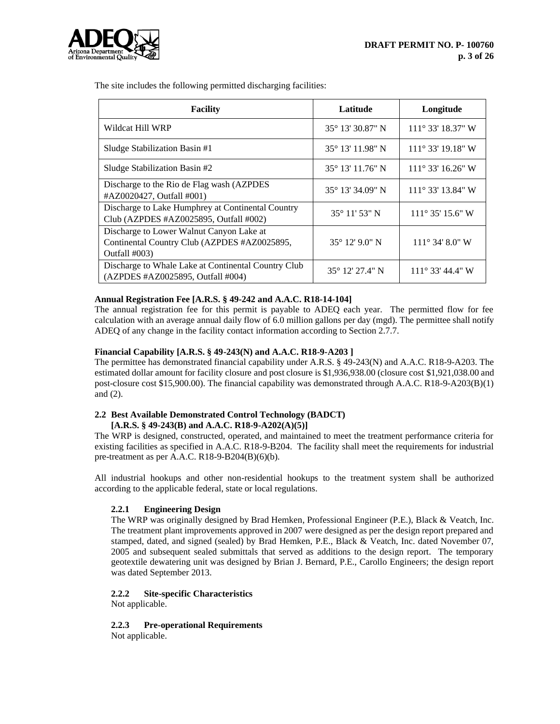

The site includes the following permitted discharging facilities:

| <b>Facility</b>                                                                                           | Latitude                | Longitude                  |
|-----------------------------------------------------------------------------------------------------------|-------------------------|----------------------------|
| Wildcat Hill WRP                                                                                          | 35° 13′ 30.87" N        | 111° 33' 18.37" W          |
| Sludge Stabilization Basin #1                                                                             | 35° 13' 11.98" N        | $111^{\circ}$ 33' 19.18" W |
| Sludge Stabilization Basin #2                                                                             | 35° 13' 11.76" N        | $111^{\circ}$ 33' 16.26" W |
| Discharge to the Rio de Flag wash (AZPDES)<br>#AZ0020427, Outfall #001)                                   | 35° 13′ 34.09″ N        | 111° 33' 13.84" W          |
| Discharge to Lake Humphrey at Continental Country<br>Club (AZPDES #AZ0025895, Outfall #002)               | $35^{\circ}$ 11' 53" N  | $111^{\circ}$ 35' 15.6" W  |
| Discharge to Lower Walnut Canyon Lake at<br>Continental Country Club (AZPDES #AZ0025895,<br>Outfall #003) | $35^{\circ}$ 12' 9.0" N | $111^{\circ}$ 34' 8.0" W   |
| Discharge to Whale Lake at Continental Country Club<br>(AZPDES #AZ0025895, Outfall #004)                  | 35° 12′ 27.4″ N         | 111° 33' 44.4" W           |

#### **Annual Registration Fee [A.R.S. § 49-242 and A.A.C. R18-14-104]**

The annual registration fee for this permit is payable to ADEQ each year. The permitted flow for fee calculation with an average annual daily flow of 6.0 million gallons per day (mgd). The permittee shall notify ADEQ of any change in the facility contact information according to Section 2.7.7.

#### **Financial Capability [A.R.S. § 49-243(N) and A.A.C. R18-9-A203 ]**

The permittee has demonstrated financial capability under A.R.S. § 49-243(N) and A.A.C. R18-9-A203. The estimated dollar amount for facility closure and post closure is \$1,936,938.00 (closure cost \$1,921,038.00 and post-closure cost \$15,900.00). The financial capability was demonstrated through A.A.C. R18-9-A203(B)(1) and (2).

#### **2.2 Best Available Demonstrated Control Technology (BADCT) [A.R.S. § 49-243(B) and A.A.C. R18-9-A202(A)(5)]**

The WRP is designed, constructed, operated, and maintained to meet the treatment performance criteria for existing facilities as specified in A.A.C. R18-9-B204. The facility shall meet the requirements for industrial pre-treatment as per A.A.C. R18-9-B204(B)(6)(b).

All industrial hookups and other non-residential hookups to the treatment system shall be authorized according to the applicable federal, state or local regulations.

# **2.2.1 Engineering Design**

The WRP was originally designed by Brad Hemken, Professional Engineer (P.E.), Black & Veatch, Inc. The treatment plant improvements approved in 2007 were designed as per the design report prepared and stamped, dated, and signed (sealed) by Brad Hemken, P.E., Black & Veatch, Inc. dated November 07, 2005 and subsequent sealed submittals that served as additions to the design report. The temporary geotextile dewatering unit was designed by Brian J. Bernard, P.E., Carollo Engineers; the design report was dated September 2013.

# **2.2.2 Site-specific Characteristics**

Not applicable.

# **2.2.3 Pre-operational Requirements**

Not applicable.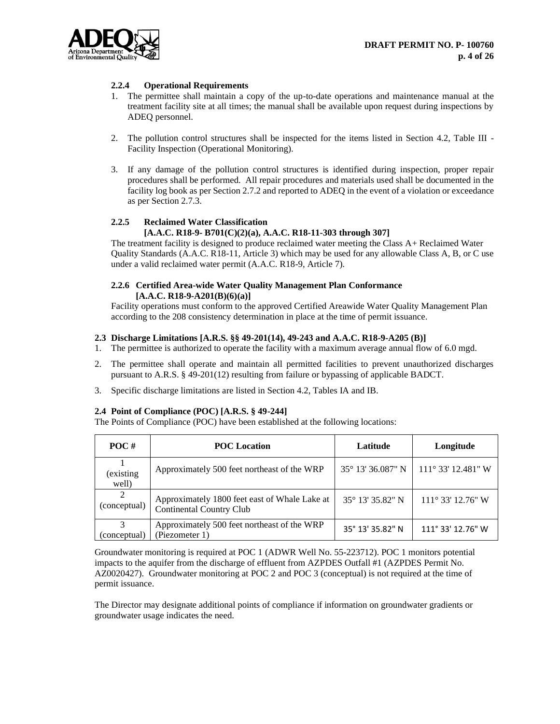

# **2.2.4 Operational Requirements**

- 1. The permittee shall maintain a copy of the up-to-date operations and maintenance manual at the treatment facility site at all times; the manual shall be available upon request during inspections by ADEQ personnel.
- 2. The pollution control structures shall be inspected for the items listed in Section 4.2, Table III Facility Inspection (Operational Monitoring).
- 3. If any damage of the pollution control structures is identified during inspection, proper repair procedures shall be performed. All repair procedures and materials used shall be documented in the facility log book as per Section 2.7.2 and reported to ADEQ in the event of a violation or exceedance as per Section 2.7.3.

# **2.2.5 Reclaimed Water Classification**

# **[A.A.C. R18-9- B701(C)(2)(a), A.A.C. R18-11-303 through 307]**

The treatment facility is designed to produce reclaimed water meeting the Class A+ Reclaimed Water Quality Standards (A.A.C. R18-11, Article 3) which may be used for any allowable Class A, B, or C use under a valid reclaimed water permit (A.A.C. R18-9, Article 7).

# **2.2.6 Certified Area-wide Water Quality Management Plan Conformance [A.A.C. R18-9-A201(B)(6)(a)]**

Facility operations must conform to the approved Certified Areawide Water Quality Management Plan according to the 208 consistency determination in place at the time of permit issuance.

#### **2.3 Discharge Limitations [A.R.S. §§ 49-201(14), 49-243 and A.A.C. R18-9-A205 (B)]**

- 1. The permittee is authorized to operate the facility with a maximum average annual flow of 6.0 mgd.
- 2. The permittee shall operate and maintain all permitted facilities to prevent unauthorized discharges pursuant to A.R.S. § 49-201(12) resulting from failure or bypassing of applicable BADCT.
- 3. Specific discharge limitations are listed in Section 4.2, Tables IA and IB.

#### **2.4 Point of Compliance (POC) [A.R.S. § 49-244]**

The Points of Compliance (POC) have been established at the following locations:

| $POC$ #            | <b>POC</b> Location                                                              | Latitude                   | Longitude                   |
|--------------------|----------------------------------------------------------------------------------|----------------------------|-----------------------------|
| (existing<br>well) | Approximately 500 feet northeast of the WRP                                      | $35^{\circ}$ 13' 36.087" N | $111^{\circ}$ 33' 12.481" W |
| (conceptual)       | Approximately 1800 feet east of Whale Lake at<br><b>Continental Country Club</b> | 35° 13′ 35.82″ N           | $111^{\circ}$ 33' 12.76" W  |
| 3<br>(conceptual)  | Approximately 500 feet northeast of the WRP<br>(Piezometer 1)                    | 35° 13′ 35.82" N           | 111° 33' 12.76" W           |

Groundwater monitoring is required at POC 1 (ADWR Well No. 55-223712). POC 1 monitors potential impacts to the aquifer from the discharge of effluent from AZPDES Outfall #1 (AZPDES Permit No. AZ0020427). Groundwater monitoring at POC 2 and POC 3 (conceptual) is not required at the time of permit issuance.

The Director may designate additional points of compliance if information on groundwater gradients or groundwater usage indicates the need.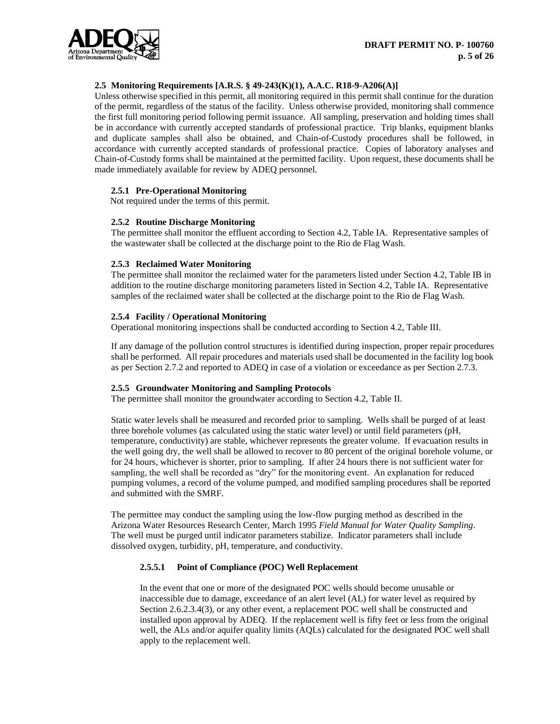

# **2.5 Monitoring Requirements [A.R.S. § 49-243(K)(1), A.A.C. R18-9-A206(A)]**

Unless otherwise specified in this permit, all monitoring required in this permit shall continue for the duration of the permit, regardless of the status of the facility. Unless otherwise provided, monitoring shall commence the first full monitoring period following permit issuance. All sampling, preservation and holding times shall be in accordance with currently accepted standards of professional practice. Trip blanks, equipment blanks and duplicate samples shall also be obtained, and Chain-of-Custody procedures shall be followed, in accordance with currently accepted standards of professional practice. Copies of laboratory analyses and Chain-of-Custody forms shall be maintained at the permitted facility. Upon request, these documents shall be made immediately available for review by ADEQ personnel.

# **2.5.1 Pre-Operational Monitoring**

Not required under the terms of this permit.

# **2.5.2 Routine Discharge Monitoring**

The permittee shall monitor the effluent according to Section 4.2, Table IA. Representative samples of the wastewater shall be collected at the discharge point to the Rio de Flag Wash.

# **2.5.3 Reclaimed Water Monitoring**

The permittee shall monitor the reclaimed water for the parameters listed under Section 4.2, Table IB in addition to the routine discharge monitoring parameters listed in Section 4.2, Table IA. Representative samples of the reclaimed water shall be collected at the discharge point to the Rio de Flag Wash.

# **2.5.4 Facility / Operational Monitoring**

Operational monitoring inspections shall be conducted according to Section 4.2, Table III.

If any damage of the pollution control structures is identified during inspection, proper repair procedures shall be performed. All repair procedures and materials used shall be documented in the facility log book as per Section 2.7.2 and reported to ADEQ in case of a violation or exceedance as per Section 2.7.3.

# **2.5.5 Groundwater Monitoring and Sampling Protocols**

The permittee shall monitor the groundwater according to Section 4.2, Table II.

Static water levels shall be measured and recorded prior to sampling. Wells shall be purged of at least three borehole volumes (as calculated using the static water level) or until field parameters (pH, temperature, conductivity) are stable, whichever represents the greater volume. If evacuation results in the well going dry, the well shall be allowed to recover to 80 percent of the original borehole volume, or for 24 hours, whichever is shorter, prior to sampling. If after 24 hours there is not sufficient water for sampling, the well shall be recorded as "dry" for the monitoring event. An explanation for reduced pumping volumes, a record of the volume pumped, and modified sampling procedures shall be reported and submitted with the SMRF.

The permittee may conduct the sampling using the low-flow purging method as described in the Arizona Water Resources Research Center, March 1995 *Field Manual for Water Quality Sampling*. The well must be purged until indicator parameters stabilize. Indicator parameters shall include dissolved oxygen, turbidity, pH, temperature, and conductivity.

# **2.5.5.1 Point of Compliance (POC) Well Replacement**

In the event that one or more of the designated POC wells should become unusable or inaccessible due to damage, exceedance of an alert level (AL) for water level as required by Section 2.6.2.3.4(3), or any other event, a replacement POC well shall be constructed and installed upon approval by ADEQ. If the replacement well is fifty feet or less from the original well, the ALs and/or aquifer quality limits (AQLs) calculated for the designated POC well shall apply to the replacement well.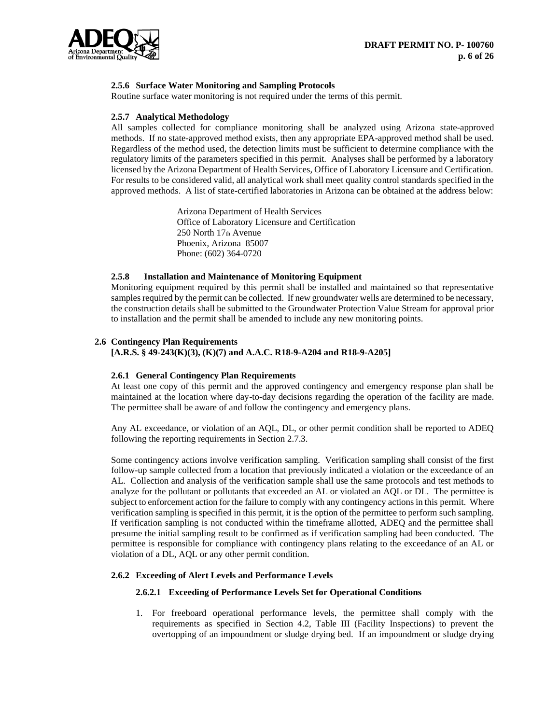

# **2.5.6 Surface Water Monitoring and Sampling Protocols**

Routine surface water monitoring is not required under the terms of this permit.

#### **2.5.7 Analytical Methodology**

All samples collected for compliance monitoring shall be analyzed using Arizona state-approved methods. If no state-approved method exists, then any appropriate EPA-approved method shall be used. Regardless of the method used, the detection limits must be sufficient to determine compliance with the regulatory limits of the parameters specified in this permit. Analyses shall be performed by a laboratory licensed by the Arizona Department of Health Services, Office of Laboratory Licensure and Certification. For results to be considered valid, all analytical work shall meet quality control standards specified in the approved methods. A list of state-certified laboratories in Arizona can be obtained at the address below:

> Arizona Department of Health Services Office of Laboratory Licensure and Certification 250 North 17th Avenue Phoenix, Arizona 85007 Phone: (602) 364-0720

#### **2.5.8 Installation and Maintenance of Monitoring Equipment**

Monitoring equipment required by this permit shall be installed and maintained so that representative samples required by the permit can be collected. If new groundwater wells are determined to be necessary, the construction details shall be submitted to the Groundwater Protection Value Stream for approval prior to installation and the permit shall be amended to include any new monitoring points.

#### **2.6 Contingency Plan Requirements**

**[A.R.S. § 49-243(K)(3), (K)(7) and A.A.C. R18-9-A204 and R18-9-A205]**

#### **2.6.1 General Contingency Plan Requirements**

At least one copy of this permit and the approved contingency and emergency response plan shall be maintained at the location where day-to-day decisions regarding the operation of the facility are made. The permittee shall be aware of and follow the contingency and emergency plans.

Any AL exceedance, or violation of an AQL, DL, or other permit condition shall be reported to ADEQ following the reporting requirements in Section 2.7.3.

Some contingency actions involve verification sampling. Verification sampling shall consist of the first follow-up sample collected from a location that previously indicated a violation or the exceedance of an AL. Collection and analysis of the verification sample shall use the same protocols and test methods to analyze for the pollutant or pollutants that exceeded an AL or violated an AQL or DL. The permittee is subject to enforcement action for the failure to comply with any contingency actions in this permit. Where verification sampling is specified in this permit, it is the option of the permittee to perform such sampling. If verification sampling is not conducted within the timeframe allotted, ADEQ and the permittee shall presume the initial sampling result to be confirmed as if verification sampling had been conducted. The permittee is responsible for compliance with contingency plans relating to the exceedance of an AL or violation of a DL, AQL or any other permit condition.

#### **2.6.2 Exceeding of Alert Levels and Performance Levels**

#### **2.6.2.1 Exceeding of Performance Levels Set for Operational Conditions**

1. For freeboard operational performance levels, the permittee shall comply with the requirements as specified in Section 4.2, Table III (Facility Inspections) to prevent the overtopping of an impoundment or sludge drying bed. If an impoundment or sludge drying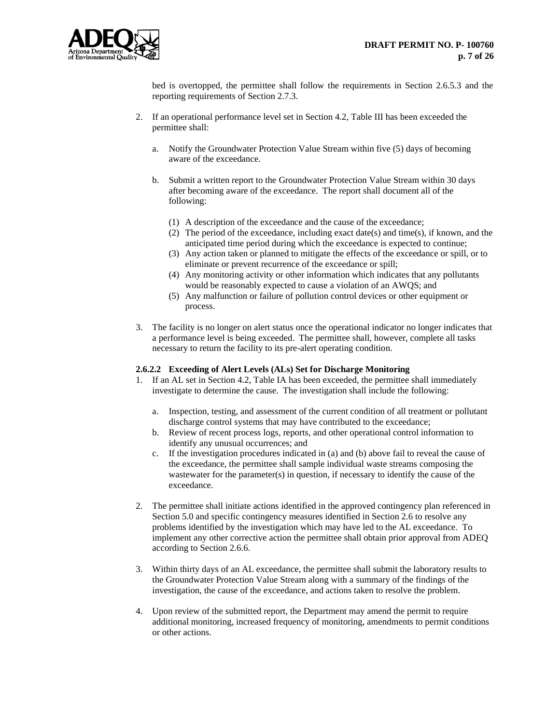

bed is overtopped, the permittee shall follow the requirements in Section 2.6.5.3 and the reporting requirements of Section 2.7.3.

- 2. If an operational performance level set in Section 4.2, Table III has been exceeded the permittee shall:
	- a. Notify the Groundwater Protection Value Stream within five (5) days of becoming aware of the exceedance.
	- b. Submit a written report to the Groundwater Protection Value Stream within 30 days after becoming aware of the exceedance. The report shall document all of the following:
		- (1) A description of the exceedance and the cause of the exceedance;
		- (2) The period of the exceedance, including exact date(s) and time(s), if known, and the anticipated time period during which the exceedance is expected to continue;
		- (3) Any action taken or planned to mitigate the effects of the exceedance or spill, or to eliminate or prevent recurrence of the exceedance or spill;
		- (4) Any monitoring activity or other information which indicates that any pollutants would be reasonably expected to cause a violation of an AWQS; and
		- (5) Any malfunction or failure of pollution control devices or other equipment or process.
- 3. The facility is no longer on alert status once the operational indicator no longer indicates that a performance level is being exceeded. The permittee shall, however, complete all tasks necessary to return the facility to its pre-alert operating condition.

# **2.6.2.2 Exceeding of Alert Levels (ALs) Set for Discharge Monitoring**

- 1. If an AL set in Section 4.2, Table IA has been exceeded, the permittee shall immediately investigate to determine the cause. The investigation shall include the following:
	- a. Inspection, testing, and assessment of the current condition of all treatment or pollutant discharge control systems that may have contributed to the exceedance;
	- b. Review of recent process logs, reports, and other operational control information to identify any unusual occurrences; and
	- c. If the investigation procedures indicated in (a) and (b) above fail to reveal the cause of the exceedance, the permittee shall sample individual waste streams composing the wastewater for the parameter(s) in question, if necessary to identify the cause of the exceedance.
- 2. The permittee shall initiate actions identified in the approved contingency plan referenced in Section 5.0 and specific contingency measures identified in Section 2.6 to resolve any problems identified by the investigation which may have led to the AL exceedance. To implement any other corrective action the permittee shall obtain prior approval from ADEQ according to Section 2.6.6.
- 3. Within thirty days of an AL exceedance, the permittee shall submit the laboratory results to the Groundwater Protection Value Stream along with a summary of the findings of the investigation, the cause of the exceedance, and actions taken to resolve the problem.
- 4. Upon review of the submitted report, the Department may amend the permit to require additional monitoring, increased frequency of monitoring, amendments to permit conditions or other actions.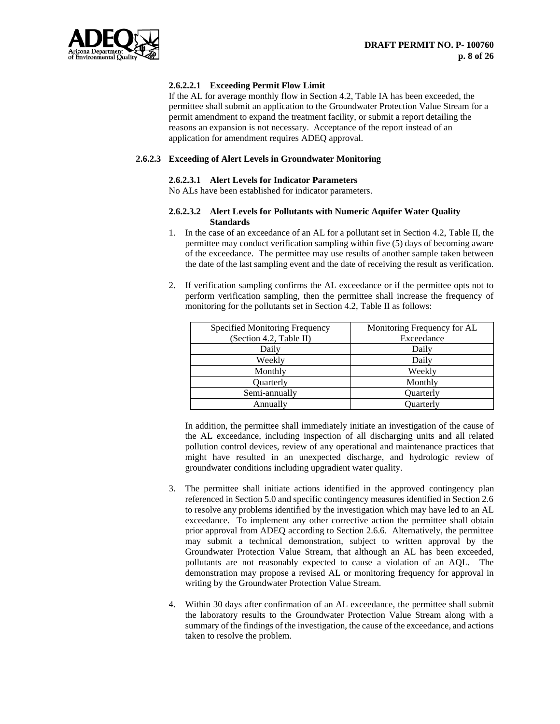

# **2.6.2.2.1 Exceeding Permit Flow Limit**

If the AL for average monthly flow in Section 4.2, Table IA has been exceeded, the permittee shall submit an application to the Groundwater Protection Value Stream for a permit amendment to expand the treatment facility, or submit a report detailing the reasons an expansion is not necessary. Acceptance of the report instead of an application for amendment requires ADEQ approval.

# **2.6.2.3 Exceeding of Alert Levels in Groundwater Monitoring**

## **2.6.2.3.1 Alert Levels for Indicator Parameters**

No ALs have been established for indicator parameters.

#### **2.6.2.3.2 Alert Levels for Pollutants with Numeric Aquifer Water Quality Standards**

- 1. In the case of an exceedance of an AL for a pollutant set in Section 4.2, Table II, the permittee may conduct verification sampling within five (5) days of becoming aware of the exceedance. The permittee may use results of another sample taken between the date of the last sampling event and the date of receiving the result as verification.
- 2. If verification sampling confirms the AL exceedance or if the permittee opts not to perform verification sampling, then the permittee shall increase the frequency of monitoring for the pollutants set in Section 4.2, Table II as follows:

| Specified Monitoring Frequency | Monitoring Frequency for AL |
|--------------------------------|-----------------------------|
| (Section 4.2, Table II)        | Exceedance                  |
| Daily                          | Daily                       |
| Weekly                         | Daily                       |
| Monthly                        | Weekly                      |
| <b>Ouarterly</b>               | Monthly                     |
| Semi-annually                  | <b>Ouarterly</b>            |
| Annually                       | Ouarterly                   |

In addition, the permittee shall immediately initiate an investigation of the cause of the AL exceedance, including inspection of all discharging units and all related pollution control devices, review of any operational and maintenance practices that might have resulted in an unexpected discharge, and hydrologic review of groundwater conditions including upgradient water quality.

- 3. The permittee shall initiate actions identified in the approved contingency plan referenced in Section 5.0 and specific contingency measures identified in Section 2.6 to resolve any problems identified by the investigation which may have led to an AL exceedance. To implement any other corrective action the permittee shall obtain prior approval from ADEQ according to Section 2.6.6. Alternatively, the permittee may submit a technical demonstration, subject to written approval by the Groundwater Protection Value Stream, that although an AL has been exceeded, pollutants are not reasonably expected to cause a violation of an AQL. The demonstration may propose a revised AL or monitoring frequency for approval in writing by the Groundwater Protection Value Stream.
- 4. Within 30 days after confirmation of an AL exceedance, the permittee shall submit the laboratory results to the Groundwater Protection Value Stream along with a summary of the findings of the investigation, the cause of the exceedance, and actions taken to resolve the problem.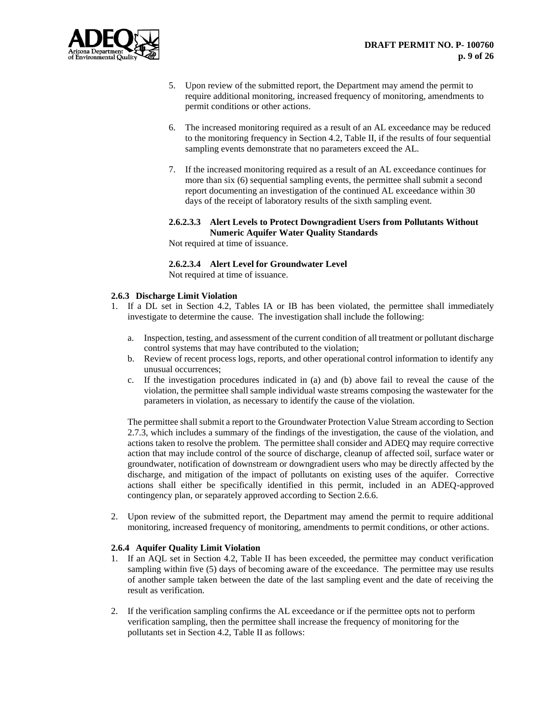

- 5. Upon review of the submitted report, the Department may amend the permit to require additional monitoring, increased frequency of monitoring, amendments to permit conditions or other actions.
- 6. The increased monitoring required as a result of an AL exceedance may be reduced to the monitoring frequency in Section 4.2, Table II, if the results of four sequential sampling events demonstrate that no parameters exceed the AL.
- 7. If the increased monitoring required as a result of an AL exceedance continues for more than six (6) sequential sampling events, the permittee shall submit a second report documenting an investigation of the continued AL exceedance within 30 days of the receipt of laboratory results of the sixth sampling event.

# **2.6.2.3.3 Alert Levels to Protect Downgradient Users from Pollutants Without Numeric Aquifer Water Quality Standards**

Not required at time of issuance.

# **2.6.2.3.4 Alert Level for Groundwater Level**

Not required at time of issuance.

#### **2.6.3 Discharge Limit Violation**

- 1. If a DL set in Section 4.2, Tables IA or IB has been violated, the permittee shall immediately investigate to determine the cause. The investigation shall include the following:
	- a. Inspection, testing, and assessment of the current condition of all treatment or pollutant discharge control systems that may have contributed to the violation;
	- b. Review of recent process logs, reports, and other operational control information to identify any unusual occurrences;
	- c. If the investigation procedures indicated in (a) and (b) above fail to reveal the cause of the violation, the permittee shall sample individual waste streams composing the wastewater for the parameters in violation, as necessary to identify the cause of the violation.

The permittee shall submit a report to the Groundwater Protection Value Stream according to Section 2.7.3, which includes a summary of the findings of the investigation, the cause of the violation, and actions taken to resolve the problem. The permittee shall consider and ADEQ may require corrective action that may include control of the source of discharge, cleanup of affected soil, surface water or groundwater, notification of downstream or downgradient users who may be directly affected by the discharge, and mitigation of the impact of pollutants on existing uses of the aquifer. Corrective actions shall either be specifically identified in this permit, included in an ADEQ-approved contingency plan, or separately approved according to Section 2.6.6.

2. Upon review of the submitted report, the Department may amend the permit to require additional monitoring, increased frequency of monitoring, amendments to permit conditions, or other actions.

# **2.6.4 Aquifer Quality Limit Violation**

- 1. If an AQL set in Section 4.2, Table II has been exceeded, the permittee may conduct verification sampling within five (5) days of becoming aware of the exceedance. The permittee may use results of another sample taken between the date of the last sampling event and the date of receiving the result as verification.
- 2. If the verification sampling confirms the AL exceedance or if the permittee opts not to perform verification sampling, then the permittee shall increase the frequency of monitoring for the pollutants set in Section 4.2, Table II as follows: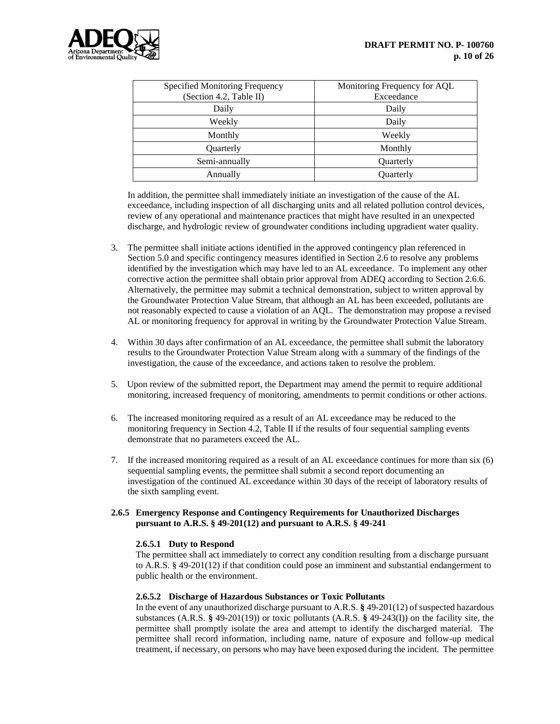

| Specified Monitoring Frequency<br>(Section 4.2, Table II) | Monitoring Frequency for AQL<br>Exceedance |
|-----------------------------------------------------------|--------------------------------------------|
| Daily                                                     | Daily                                      |
| Weekly                                                    | Daily                                      |
| Monthly                                                   | Weekly                                     |
| Quarterly                                                 | Monthly                                    |
| Semi-annually                                             | Quarterly                                  |
| Annually                                                  | Quarterly                                  |

In addition, the permittee shall immediately initiate an investigation of the cause of the AL exceedance, including inspection of all discharging units and all related pollution control devices, review of any operational and maintenance practices that might have resulted in an unexpected discharge, and hydrologic review of groundwater conditions including upgradient water quality.

- 3. The permittee shall initiate actions identified in the approved contingency plan referenced in Section 5.0 and specific contingency measures identified in Section 2.6 to resolve any problems identified by the investigation which may have led to an AL exceedance. To implement any other corrective action the permittee shall obtain prior approval from ADEQ according to Section 2.6.6. Alternatively, the permittee may submit a technical demonstration, subject to written approval by the Groundwater Protection Value Stream, that although an AL has been exceeded, pollutants are not reasonably expected to cause a violation of an AQL. The demonstration may propose a revised AL or monitoring frequency for approval in writing by the Groundwater Protection Value Stream.
- 4. Within 30 days after confirmation of an AL exceedance, the permittee shall submit the laboratory results to the Groundwater Protection Value Stream along with a summary of the findings of the investigation, the cause of the exceedance, and actions taken to resolve the problem.
- 5. Upon review of the submitted report, the Department may amend the permit to require additional monitoring, increased frequency of monitoring, amendments to permit conditions or other actions.
- 6. The increased monitoring required as a result of an AL exceedance may be reduced to the monitoring frequency in Section 4.2, Table II if the results of four sequential sampling events demonstrate that no parameters exceed the AL.
- 7. If the increased monitoring required as a result of an AL exceedance continues for more than six (6) sequential sampling events, the permittee shall submit a second report documenting an investigation of the continued AL exceedance within 30 days of the receipt of laboratory results of the sixth sampling event.

# **2.6.5 Emergency Response and Contingency Requirements for Unauthorized Discharges pursuant to A.R.S. § 49-201(12) and pursuant to A.R.S. § 49-241**

# **2.6.5.1 Duty to Respond**

The permittee shall act immediately to correct any condition resulting from a discharge pursuant to A.R.S. § 49-201(12) if that condition could pose an imminent and substantial endangerment to public health or the environment.

# **2.6.5.2 Discharge of Hazardous Substances or Toxic Pollutants**

In the event of any unauthorized discharge pursuant to A.R.S. **§** 49-201(12) of suspected hazardous substances (A.R.S. **§** 49-201(19)) or toxic pollutants (A.R.S. **§** 49-243(I)) on the facility site, the permittee shall promptly isolate the area and attempt to identify the discharged material. The permittee shall record information, including name, nature of exposure and follow-up medical treatment, if necessary, on persons who may have been exposed during the incident. The permittee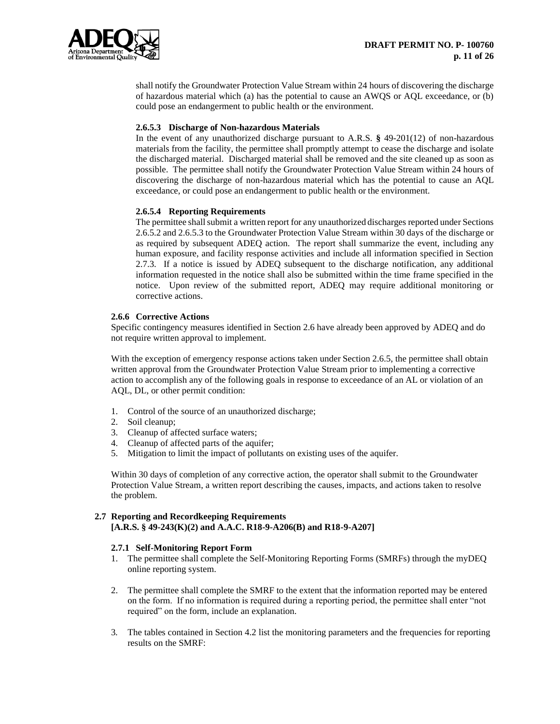

shall notify the Groundwater Protection Value Stream within 24 hours of discovering the discharge of hazardous material which (a) has the potential to cause an AWQS or AQL exceedance, or (b) could pose an endangerment to public health or the environment.

#### **2.6.5.3 Discharge of Non-hazardous Materials**

In the event of any unauthorized discharge pursuant to A.R.S. **§** 49-201(12) of non-hazardous materials from the facility, the permittee shall promptly attempt to cease the discharge and isolate the discharged material. Discharged material shall be removed and the site cleaned up as soon as possible. The permittee shall notify the Groundwater Protection Value Stream within 24 hours of discovering the discharge of non-hazardous material which has the potential to cause an AQL exceedance, or could pose an endangerment to public health or the environment.

#### **2.6.5.4 Reporting Requirements**

The permittee shall submit a written report for any unauthorized discharges reported under Sections 2.6.5.2 and 2.6.5.3 to the Groundwater Protection Value Stream within 30 days of the discharge or as required by subsequent ADEQ action. The report shall summarize the event, including any human exposure, and facility response activities and include all information specified in Section 2.7.3. If a notice is issued by ADEQ subsequent to the discharge notification, any additional information requested in the notice shall also be submitted within the time frame specified in the notice. Upon review of the submitted report, ADEQ may require additional monitoring or corrective actions.

#### **2.6.6 Corrective Actions**

Specific contingency measures identified in Section 2.6 have already been approved by ADEQ and do not require written approval to implement.

With the exception of emergency response actions taken under Section 2.6.5, the permittee shall obtain written approval from the Groundwater Protection Value Stream prior to implementing a corrective action to accomplish any of the following goals in response to exceedance of an AL or violation of an AQL, DL, or other permit condition:

- 1. Control of the source of an unauthorized discharge;
- 2. Soil cleanup;
- 3. Cleanup of affected surface waters;
- 4. Cleanup of affected parts of the aquifer;
- 5. Mitigation to limit the impact of pollutants on existing uses of the aquifer.

Within 30 days of completion of any corrective action, the operator shall submit to the Groundwater Protection Value Stream, a written report describing the causes, impacts, and actions taken to resolve the problem.

#### **2.7 Reporting and Recordkeeping Requirements [A.R.S. § 49-243(K)(2) and A.A.C. R18-9-A206(B) and R18-9-A207]**

# **2.7.1 Self-Monitoring Report Form**

- 1. The permittee shall complete the Self-Monitoring Reporting Forms (SMRFs) through the myDEQ online reporting system.
- 2. The permittee shall complete the SMRF to the extent that the information reported may be entered on the form. If no information is required during a reporting period, the permittee shall enter "not required" on the form, include an explanation.
- 3. The tables contained in Section 4.2 list the monitoring parameters and the frequencies for reporting results on the SMRF: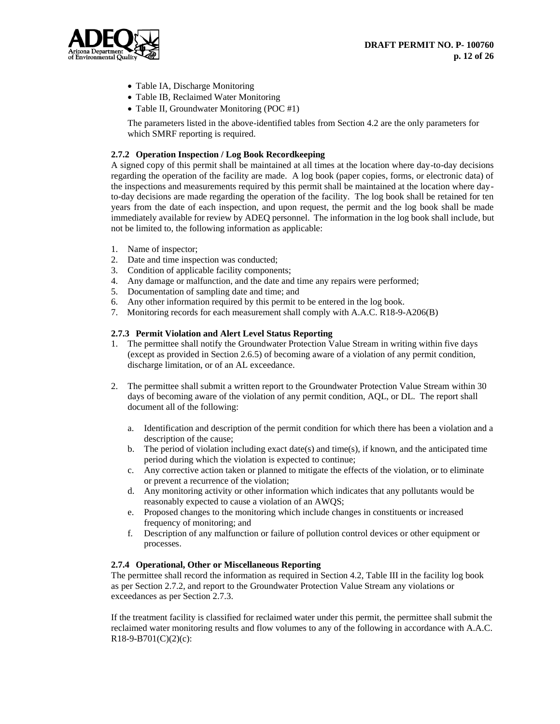

- Table IA, Discharge Monitoring
- Table IB, Reclaimed Water Monitoring
- Table II, Groundwater Monitoring (POC #1)

The parameters listed in the above-identified tables from Section 4.2 are the only parameters for which SMRF reporting is required.

# **2.7.2 Operation Inspection / Log Book Recordkeeping**

A signed copy of this permit shall be maintained at all times at the location where day-to-day decisions regarding the operation of the facility are made. A log book (paper copies, forms, or electronic data) of the inspections and measurements required by this permit shall be maintained at the location where dayto-day decisions are made regarding the operation of the facility. The log book shall be retained for ten years from the date of each inspection, and upon request, the permit and the log book shall be made immediately available for review by ADEQ personnel. The information in the log book shall include, but not be limited to, the following information as applicable:

- 1. Name of inspector;
- 2. Date and time inspection was conducted;
- 3. Condition of applicable facility components;
- 4. Any damage or malfunction, and the date and time any repairs were performed;
- 5. Documentation of sampling date and time; and
- 6. Any other information required by this permit to be entered in the log book.
- 7. Monitoring records for each measurement shall comply with A.A.C. R18-9-A206(B)

#### **2.7.3 Permit Violation and Alert Level Status Reporting**

- 1. The permittee shall notify the Groundwater Protection Value Stream in writing within five days (except as provided in Section 2.6.5) of becoming aware of a violation of any permit condition, discharge limitation, or of an AL exceedance.
- 2. The permittee shall submit a written report to the Groundwater Protection Value Stream within 30 days of becoming aware of the violation of any permit condition, AQL, or DL. The report shall document all of the following:
	- a. Identification and description of the permit condition for which there has been a violation and a description of the cause;
	- b. The period of violation including exact date(s) and time(s), if known, and the anticipated time period during which the violation is expected to continue;
	- c. Any corrective action taken or planned to mitigate the effects of the violation, or to eliminate or prevent a recurrence of the violation;
	- d. Any monitoring activity or other information which indicates that any pollutants would be reasonably expected to cause a violation of an AWQS;
	- e. Proposed changes to the monitoring which include changes in constituents or increased frequency of monitoring; and
	- f. Description of any malfunction or failure of pollution control devices or other equipment or processes.

# **2.7.4 Operational, Other or Miscellaneous Reporting**

The permittee shall record the information as required in Section 4.2, Table III in the facility log book as per Section 2.7.2, and report to the Groundwater Protection Value Stream any violations or exceedances as per Section 2.7.3.

If the treatment facility is classified for reclaimed water under this permit, the permittee shall submit the reclaimed water monitoring results and flow volumes to any of the following in accordance with A.A.C.  $R18-9-B701(C)(2)(c)$ :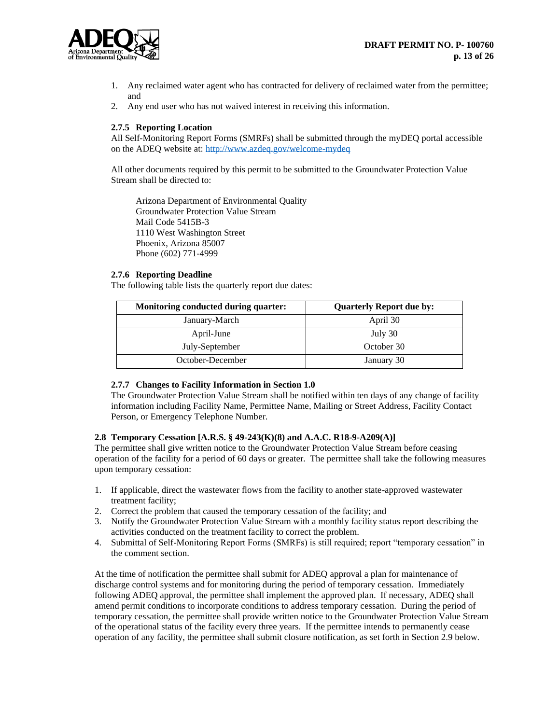

- 1. Any reclaimed water agent who has contracted for delivery of reclaimed water from the permittee; and
- 2. Any end user who has not waived interest in receiving this information.

# **2.7.5 Reporting Location**

All Self-Monitoring Report Forms (SMRFs) shall be submitted through the myDEQ portal accessible on the ADEQ website at: <http://www.azdeq.gov/welcome-mydeq>

All other documents required by this permit to be submitted to the Groundwater Protection Value Stream shall be directed to:

Arizona Department of Environmental Quality Groundwater Protection Value Stream Mail Code 5415B-3 1110 West Washington Street Phoenix, Arizona 85007 Phone (602) 771-4999

#### **2.7.6 Reporting Deadline**

The following table lists the quarterly report due dates:

| <b>Monitoring conducted during quarter:</b> | <b>Quarterly Report due by:</b> |
|---------------------------------------------|---------------------------------|
| January-March                               | April 30                        |
| April-June                                  | July 30                         |
| July-September                              | October 30                      |
| October-December                            | January 30                      |

#### **2.7.7 Changes to Facility Information in Section 1.0**

The Groundwater Protection Value Stream shall be notified within ten days of any change of facility information including Facility Name, Permittee Name, Mailing or Street Address, Facility Contact Person, or Emergency Telephone Number.

#### **2.8 Temporary Cessation [A.R.S. § 49-243(K)(8) and A.A.C. R18-9-A209(A)]**

The permittee shall give written notice to the Groundwater Protection Value Stream before ceasing operation of the facility for a period of 60 days or greater. The permittee shall take the following measures upon temporary cessation:

- 1. If applicable, direct the wastewater flows from the facility to another state-approved wastewater treatment facility;
- 2. Correct the problem that caused the temporary cessation of the facility; and
- 3. Notify the Groundwater Protection Value Stream with a monthly facility status report describing the activities conducted on the treatment facility to correct the problem.
- 4. Submittal of Self-Monitoring Report Forms (SMRFs) is still required; report "temporary cessation" in the comment section.

At the time of notification the permittee shall submit for ADEQ approval a plan for maintenance of discharge control systems and for monitoring during the period of temporary cessation. Immediately following ADEQ approval, the permittee shall implement the approved plan. If necessary, ADEQ shall amend permit conditions to incorporate conditions to address temporary cessation. During the period of temporary cessation, the permittee shall provide written notice to the Groundwater Protection Value Stream of the operational status of the facility every three years. If the permittee intends to permanently cease operation of any facility, the permittee shall submit closure notification, as set forth in Section 2.9 below.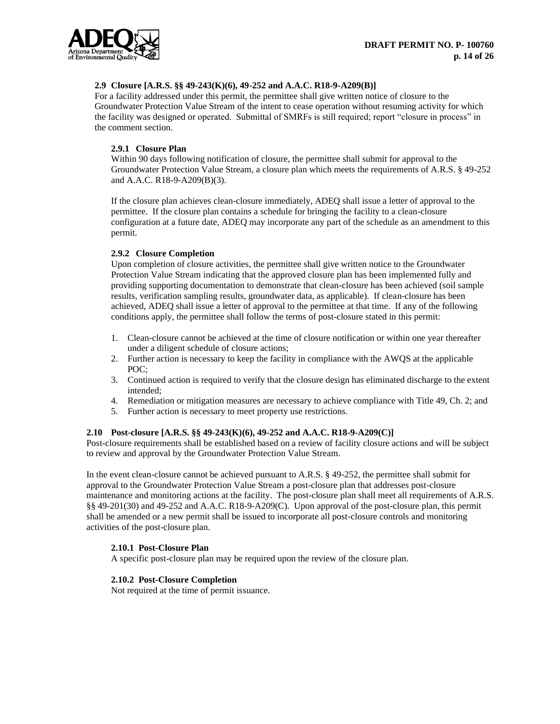

# **2.9 Closure [A.R.S. §§ 49-243(K)(6), 49-252 and A.A.C. R18-9-A209(B)]**

For a facility addressed under this permit, the permittee shall give written notice of closure to the Groundwater Protection Value Stream of the intent to cease operation without resuming activity for which the facility was designed or operated. Submittal of SMRFs is still required; report "closure in process" in the comment section.

#### **2.9.1 Closure Plan**

Within 90 days following notification of closure, the permittee shall submit for approval to the Groundwater Protection Value Stream, a closure plan which meets the requirements of A.R.S. § 49-252 and A.A.C. R18-9-A209(B)(3).

If the closure plan achieves clean-closure immediately, ADEQ shall issue a letter of approval to the permittee. If the closure plan contains a schedule for bringing the facility to a clean-closure configuration at a future date, ADEQ may incorporate any part of the schedule as an amendment to this permit.

#### **2.9.2 Closure Completion**

Upon completion of closure activities, the permittee shall give written notice to the Groundwater Protection Value Stream indicating that the approved closure plan has been implemented fully and providing supporting documentation to demonstrate that clean-closure has been achieved (soil sample results, verification sampling results, groundwater data, as applicable). If clean-closure has been achieved, ADEQ shall issue a letter of approval to the permittee at that time. If any of the following conditions apply, the permittee shall follow the terms of post-closure stated in this permit:

- 1. Clean-closure cannot be achieved at the time of closure notification or within one year thereafter under a diligent schedule of closure actions;
- 2. Further action is necessary to keep the facility in compliance with the AWQS at the applicable POC;
- 3. Continued action is required to verify that the closure design has eliminated discharge to the extent intended;
- 4. Remediation or mitigation measures are necessary to achieve compliance with Title 49, Ch. 2; and
- 5. Further action is necessary to meet property use restrictions.

#### **2.10 Post-closure [A.R.S. §§ 49-243(K)(6), 49-252 and A.A.C. R18-9-A209(C)]**

Post-closure requirements shall be established based on a review of facility closure actions and will be subject to review and approval by the Groundwater Protection Value Stream.

In the event clean-closure cannot be achieved pursuant to A.R.S. § 49-252, the permittee shall submit for approval to the Groundwater Protection Value Stream a post-closure plan that addresses post-closure maintenance and monitoring actions at the facility. The post-closure plan shall meet all requirements of A.R.S. §§ 49-201(30) and 49-252 and A.A.C. R18-9-A209(C). Upon approval of the post-closure plan, this permit shall be amended or a new permit shall be issued to incorporate all post-closure controls and monitoring activities of the post-closure plan.

# **2.10.1 Post-Closure Plan**

A specific post-closure plan may be required upon the review of the closure plan.

#### **2.10.2 Post-Closure Completion**

Not required at the time of permit issuance.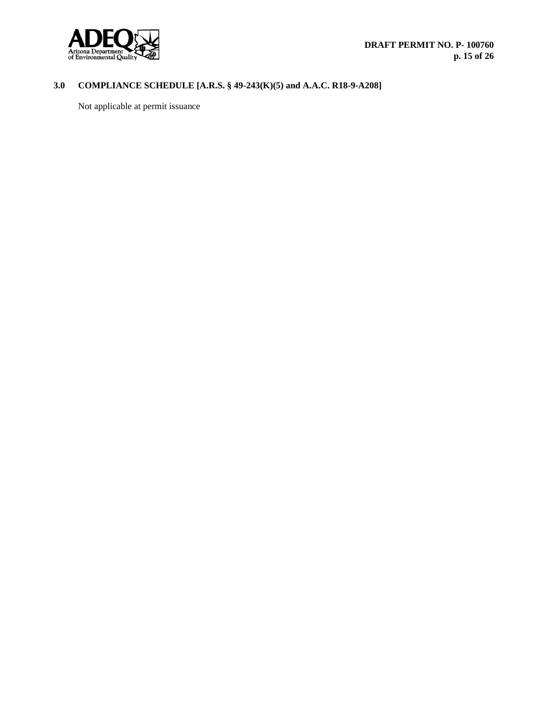

# **3.0 COMPLIANCE SCHEDULE [A.R.S. § 49-243(K)(5) and A.A.C. R18-9-A208]**

Not applicable at permit issuance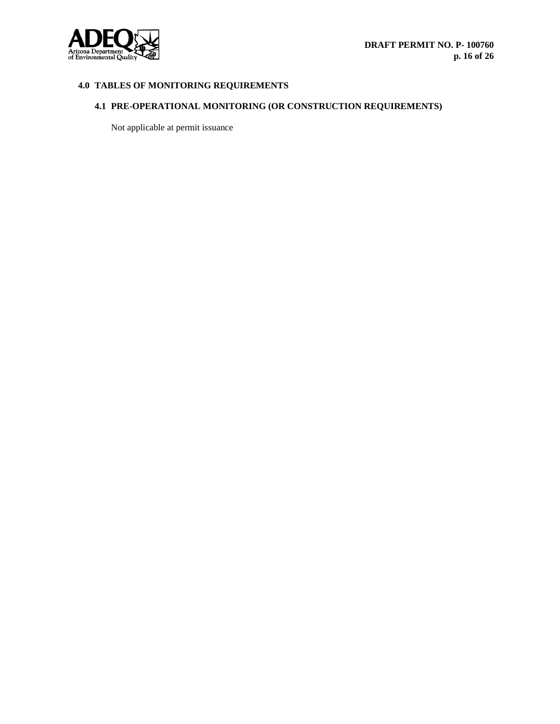

# **4.0 TABLES OF MONITORING REQUIREMENTS**

# **4.1 PRE-OPERATIONAL MONITORING (OR CONSTRUCTION REQUIREMENTS)**

Not applicable at permit issuance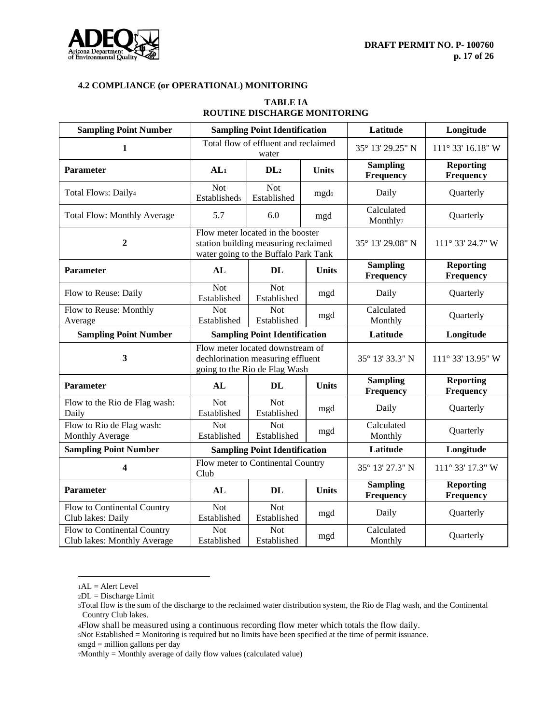

# **TABLE IA ROUTINE DISCHARGE MONITORING**

| <b>Sampling Point Number</b>                               |                                   | <b>Sampling Point Identification</b>                                                                              |                  | Latitude                            | Longitude                     |
|------------------------------------------------------------|-----------------------------------|-------------------------------------------------------------------------------------------------------------------|------------------|-------------------------------------|-------------------------------|
| $\mathbf{1}$                                               |                                   | Total flow of effluent and reclaimed<br>water                                                                     |                  | 35° 13' 29.25" N                    | $111^{\circ}$ 33' 16.18" W    |
| <b>Parameter</b>                                           | AL <sub>1</sub>                   | DL <sub>2</sub>                                                                                                   | <b>Units</b>     | <b>Sampling</b><br>Frequency        | <b>Reporting</b><br>Frequency |
| Total Flows: Daily4                                        | <b>Not</b><br><b>Establisheds</b> | Not<br>Established                                                                                                | mgd <sub>6</sub> | Daily                               | Quarterly                     |
| <b>Total Flow: Monthly Average</b>                         | 5.7                               | 6.0                                                                                                               | mgd              | Calculated<br>Monthly <sub>7</sub>  | Quarterly                     |
| $\overline{2}$                                             |                                   | Flow meter located in the booster<br>station building measuring reclaimed<br>water going to the Buffalo Park Tank |                  | 35° 13' 29.08" N                    | 111° 33' 24.7" W              |
| <b>Parameter</b>                                           | AL                                | <b>DL</b>                                                                                                         | <b>Units</b>     | <b>Sampling</b><br>Frequency        | <b>Reporting</b><br>Frequency |
| Flow to Reuse: Daily                                       | <b>Not</b><br>Established         | <b>Not</b><br>Established                                                                                         | mgd              | Daily                               | Quarterly                     |
| Flow to Reuse: Monthly<br>Average                          | <b>Not</b><br>Established         | <b>Not</b><br>Established                                                                                         | mgd              | Calculated<br>Monthly               | Quarterly                     |
| <b>Sampling Point Number</b>                               |                                   | <b>Sampling Point Identification</b>                                                                              |                  | Latitude                            | Longitude                     |
| 3                                                          |                                   | Flow meter located downstream of<br>dechlorination measuring effluent<br>going to the Rio de Flag Wash            |                  | 35° 13′ 33.3″ N                     | 111° 33' 13.95" W             |
| Parameter                                                  | AL                                | <b>DL</b>                                                                                                         | <b>Units</b>     | <b>Sampling</b><br>Frequency        | <b>Reporting</b><br>Frequency |
| Flow to the Rio de Flag wash:<br>Daily                     | <b>Not</b><br>Established         | <b>Not</b><br>Established                                                                                         | mgd              | Daily                               | Quarterly                     |
| Flow to Rio de Flag wash:<br>Monthly Average               | <b>Not</b><br>Established         | <b>Not</b><br>Established                                                                                         | mgd              | Calculated<br>Monthly               | Quarterly                     |
| <b>Sampling Point Number</b>                               |                                   | <b>Sampling Point Identification</b>                                                                              |                  | Latitude                            | Longitude                     |
| $\boldsymbol{4}$                                           | Club                              | Flow meter to Continental Country                                                                                 |                  | 35° 13' 27.3" N                     | 111° 33' 17.3" W              |
| <b>Parameter</b>                                           | AL                                | <b>DL</b>                                                                                                         | <b>Units</b>     | <b>Sampling</b><br><b>Frequency</b> | <b>Reporting</b><br>Frequency |
| Flow to Continental Country<br>Club lakes: Daily           | <b>Not</b><br>Established         | <b>Not</b><br>Established                                                                                         | mgd              | Daily                               | Quarterly                     |
| Flow to Continental Country<br>Club lakes: Monthly Average | <b>Not</b><br>Established         | <b>Not</b><br>Established                                                                                         | mgd              | Calculated<br>Monthly               | Quarterly                     |

 $1AL =$  Alert Level

<sup>5</sup>Not Established = Monitoring is required but no limits have been specified at the time of permit issuance.  $6mgd =$  million gallons per day

7Monthly = Monthly average of daily flow values (calculated value)

 $2DL = Discharge Limit$ 

<sup>3</sup>Total flow is the sum of the discharge to the reclaimed water distribution system, the Rio de Flag wash, and the Continental Country Club lakes.

<sup>4</sup>Flow shall be measured using a continuous recording flow meter which totals the flow daily.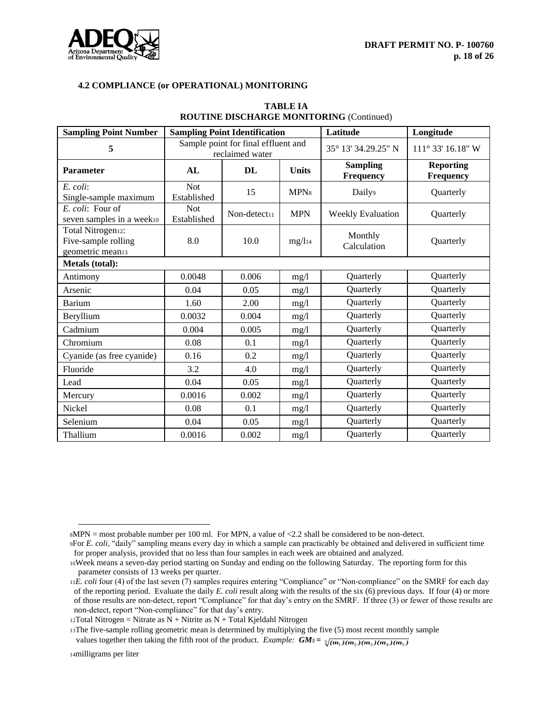

| <b>Sampling Point Number</b>                                              | <b>Sampling Point Identification</b>                   |              |                    | Latitude                            | Longitude                     |
|---------------------------------------------------------------------------|--------------------------------------------------------|--------------|--------------------|-------------------------------------|-------------------------------|
| 5                                                                         | Sample point for final effluent and<br>reclaimed water |              |                    | 35° 13′ 34.29.25″ N                 | $111^{\circ}$ 33' 16.18" W    |
| <b>Parameter</b>                                                          | AL                                                     | DL           | <b>Units</b>       | <b>Sampling</b><br><b>Frequency</b> | <b>Reporting</b><br>Frequency |
| E. coli:<br>Single-sample maximum                                         | <b>Not</b><br>Established                              | 15           | MPN <sub>8</sub>   | Daily <sup>9</sup>                  | Quarterly                     |
| E. coli: Four of<br>seven samples in a week10                             | <b>Not</b><br>Established                              | Non-detect11 | <b>MPN</b>         | Weekly Evaluation                   | Quarterly                     |
| Total Nitrogen <sub>12</sub> :<br>Five-sample rolling<br>geometric mean13 | 8.0                                                    | 10.0         | mg/l <sub>14</sub> | Monthly<br>Calculation              | Quarterly                     |
| <b>Metals</b> (total):                                                    |                                                        |              |                    |                                     |                               |
| Antimony                                                                  | 0.0048                                                 | 0.006        | mg/l               | Quarterly                           | Quarterly                     |
| Arsenic                                                                   | 0.04                                                   | 0.05         | mg/l               | Quarterly                           | Quarterly                     |
| Barium                                                                    | 1.60                                                   | 2.00         | mg/l               | Quarterly                           | Quarterly                     |
| Beryllium                                                                 | 0.0032                                                 | 0.004        | mg/l               | Quarterly                           | Quarterly                     |
| Cadmium                                                                   | 0.004                                                  | 0.005        | mg/l               | Quarterly                           | Quarterly                     |
| Chromium                                                                  | 0.08                                                   | 0.1          | mg/1               | Quarterly                           | Quarterly                     |
| Cyanide (as free cyanide)                                                 | 0.16                                                   | 0.2          | mg/1               | Quarterly                           | Quarterly                     |
| Fluoride                                                                  | 3.2                                                    | 4.0          | mg/1               | Quarterly                           | Quarterly                     |
| Lead                                                                      | 0.04                                                   | 0.05         | mg/l               | Quarterly                           | Quarterly                     |
| Mercury                                                                   | 0.0016                                                 | 0.002        | mg/l               | Quarterly                           | Quarterly                     |
| Nickel                                                                    | 0.08                                                   | 0.1          | mg/l               | Quarterly                           | Quarterly                     |
| Selenium                                                                  | 0.04                                                   | 0.05         | mg/1               | Quarterly                           | Quarterly                     |
| Thallium                                                                  | 0.0016                                                 | 0.002        | mg/l               | Quarterly                           | Quarterly                     |

# **TABLE IA ROUTINE DISCHARGE MONITORING** (Continued)

<sup>8</sup>MPN = most probable number per 100 ml. For MPN, a value of <2.2 shall be considered to be non-detect.

<sup>9</sup>For *E. coli*, "daily" sampling means every day in which a sample can practicably be obtained and delivered in sufficient time for proper analysis, provided that no less than four samples in each week are obtained and analyzed.

<sup>10</sup>Week means a seven-day period starting on Sunday and ending on the following Saturday. The reporting form for this parameter consists of 13 weeks per quarter.

<sup>11</sup>*E. coli* four (4) of the last seven (7) samples requires entering "Compliance" or "Non-compliance" on the SMRF for each day of the reporting period. Evaluate the daily *E. coli* result along with the results of the six (6) previous days. If four (4) or more of those results are non-detect, report "Compliance" for that day's entry on the SMRF. If three (3) or fewer of those results are non-detect, report "Non-compliance" for that day's entry.

 $12Total Nitrogen = Nitrate$  as  $N + Nitrite$  as  $N + Total Kjeldahl Nitrogen$ 

<sup>13</sup>The five-sample rolling geometric mean is determined by multiplying the five (5) most recent monthly sample

values together then taking the fifth root of the product. *Example:*  $GMs = \frac{5}{(m_1)(m_2)(m_3)(m_4)(m_5)}$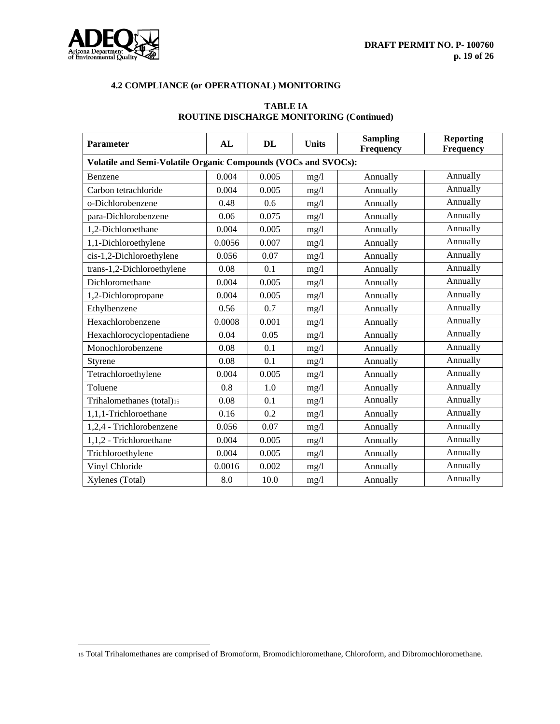

| <b>Parameter</b>                                               | AL     | <b>DL</b> | <b>Units</b> | <b>Sampling</b><br>Frequency | <b>Reporting</b><br><b>Frequency</b> |  |  |  |
|----------------------------------------------------------------|--------|-----------|--------------|------------------------------|--------------------------------------|--|--|--|
| Volatile and Semi-Volatile Organic Compounds (VOCs and SVOCs): |        |           |              |                              |                                      |  |  |  |
| Benzene                                                        | 0.004  | 0.005     | mg/l         | Annually                     | Annually                             |  |  |  |
| Carbon tetrachloride                                           | 0.004  | 0.005     | mg/l         | Annually                     | Annually                             |  |  |  |
| o-Dichlorobenzene                                              | 0.48   | 0.6       | mg/l         | Annually                     | Annually                             |  |  |  |
| para-Dichlorobenzene                                           | 0.06   | 0.075     | mg/1         | Annually                     | Annually                             |  |  |  |
| 1,2-Dichloroethane                                             | 0.004  | 0.005     | mg/l         | Annually                     | Annually                             |  |  |  |
| 1,1-Dichloroethylene                                           | 0.0056 | 0.007     | mg/l         | Annually                     | Annually                             |  |  |  |
| cis-1,2-Dichloroethylene                                       | 0.056  | 0.07      | mg/l         | Annually                     | Annually                             |  |  |  |
| trans-1,2-Dichloroethylene                                     | 0.08   | 0.1       | mg/l         | Annually                     | Annually                             |  |  |  |
| Dichloromethane                                                | 0.004  | 0.005     | mg/l         | Annually                     | Annually                             |  |  |  |
| 1,2-Dichloropropane                                            | 0.004  | 0.005     | mg/l         | Annually                     | Annually                             |  |  |  |
| Ethylbenzene                                                   | 0.56   | 0.7       | mg/l         | Annually                     | Annually                             |  |  |  |
| Hexachlorobenzene                                              | 0.0008 | 0.001     | mg/1         | Annually                     | Annually                             |  |  |  |
| Hexachlorocyclopentadiene                                      | 0.04   | 0.05      | mg/l         | Annually                     | Annually                             |  |  |  |
| Monochlorobenzene                                              | 0.08   | 0.1       | mg/l         | Annually                     | Annually                             |  |  |  |
| Styrene                                                        | 0.08   | 0.1       | mg/l         | Annually                     | Annually                             |  |  |  |
| Tetrachloroethylene                                            | 0.004  | 0.005     | mg/l         | Annually                     | Annually                             |  |  |  |
| Toluene                                                        | 0.8    | 1.0       | mg/1         | Annually                     | Annually                             |  |  |  |
| Trihalomethanes (total)15                                      | 0.08   | 0.1       | mg/l         | Annually                     | Annually                             |  |  |  |
| 1,1,1-Trichloroethane                                          | 0.16   | 0.2       | mg/l         | Annually                     | Annually                             |  |  |  |
| 1,2,4 - Trichlorobenzene                                       | 0.056  | 0.07      | mg/1         | Annually                     | Annually                             |  |  |  |
| 1,1,2 - Trichloroethane                                        | 0.004  | 0.005     | mg/l         | Annually                     | Annually                             |  |  |  |
| Trichloroethylene                                              | 0.004  | 0.005     | mg/l         | Annually                     | Annually                             |  |  |  |
| Vinyl Chloride                                                 | 0.0016 | 0.002     | mg/l         | Annually                     | Annually                             |  |  |  |
| Xylenes (Total)                                                | 8.0    | 10.0      | mg/l         | Annually                     | Annually                             |  |  |  |

# **TABLE IA ROUTINE DISCHARGE MONITORING (Continued)**

<sup>15</sup> Total Trihalomethanes are comprised of Bromoform, Bromodichloromethane, Chloroform, and Dibromochloromethane.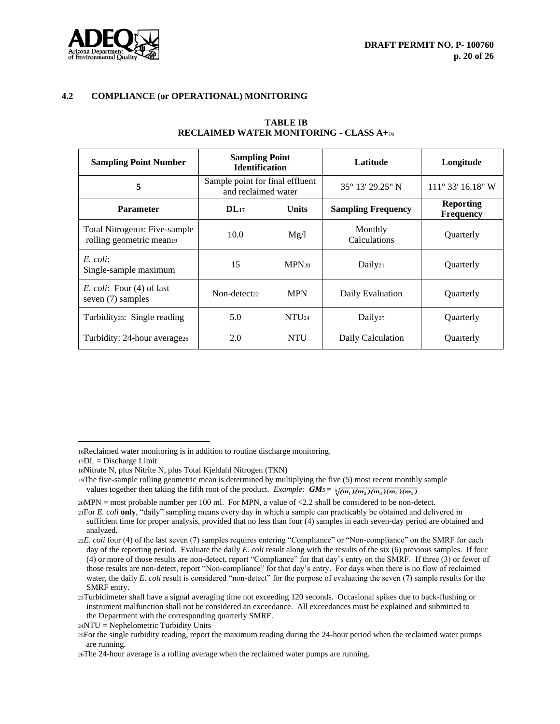

| <b>Sampling Point Number</b>                             | <b>Sampling Point</b><br><b>Identification</b>         |            | Latitude                  | Longitude                            |
|----------------------------------------------------------|--------------------------------------------------------|------------|---------------------------|--------------------------------------|
| 5                                                        | Sample point for final effluent<br>and reclaimed water |            | 35° 13′ 29.25″ N          | $111^{\circ}$ 33' 16.18" W           |
| <b>Parameter</b>                                         | <b>Units</b><br>$DL_{17}$                              |            | <b>Sampling Frequency</b> | <b>Reporting</b><br><b>Frequency</b> |
| Total Nitrogens: Five-sample<br>rolling geometric mean19 | 10.0<br>Mg/l                                           |            | Monthly<br>Calculations   | Quarterly                            |
| E. coli:<br>Single-sample maximum                        | 15<br>$MPN_{20}$                                       |            | Daily <sub>21</sub>       | Quarterly                            |
| <i>E. coli:</i> Four (4) of last<br>seven (7) samples    | Non-detect <sub>22</sub>                               | <b>MPN</b> | Daily Evaluation          | Quarterly                            |
| Turbidity <sub>23</sub> : Single reading                 | 5.0                                                    | $NTU_{24}$ | Daily <sub>25</sub>       | <b>Ouarterly</b>                     |
| Turbidity: 24-hour average <sub>26</sub>                 | 2.0                                                    | <b>NTU</b> | Daily Calculation         | Quarterly                            |

#### **TABLE IB RECLAIMED WATER MONITORING - CLASS A+**<sup>16</sup>

<sup>16</sup>Reclaimed water monitoring is in addition to routine discharge monitoring.

 $17DL = Discharge Limit$ 

<sup>18</sup>Nitrate N, plus Nitrite N, plus Total Kjeldahl Nitrogen (TKN)

<sup>19</sup>The five-sample rolling geometric mean is determined by multiplying the five (5) most recent monthly sample

values together then taking the fifth root of the product. *Example:*  $GMs = \frac{1}{2}(m_1)(m_2)(m_3)(m_4)(m_5)$ 

<sup>20</sup>MPN = most probable number per 100 ml. For MPN, a value of <2.2 shall be considered to be non-detect.

<sup>21</sup>For *E. coli* **only**, "daily" sampling means every day in which a sample can practicably be obtained and delivered in sufficient time for proper analysis, provided that no less than four (4) samples in each seven-day period are obtained and analyzed.

<sup>22</sup>*E. coli* four (4) of the last seven (7) samples requires entering "Compliance" or "Non-compliance" on the SMRF for each day of the reporting period. Evaluate the daily *E. coli* result along with the results of the six (6) previous samples. If four (4) or more of those results are non-detect, report "Compliance" for that day's entry on the SMRF. If three (3) or fewer of those results are non-detect, report "Non-compliance" for that day's entry. For days when there is no flow of reclaimed water, the daily *E. coli* result is considered "non-detect" for the purpose of evaluating the seven (7) sample results for the SMRF entry.

<sup>23</sup>Turbidimeter shall have a signal averaging time not exceeding 120 seconds. Occasional spikes due to back-flushing or instrument malfunction shall not be considered an exceedance. All exceedances must be explained and submitted to the Department with the corresponding quarterly SMRF.

 $24NTU = \text{Nephelometric Turbidity Units}$ 

<sup>25</sup>For the single turbidity reading, report the maximum reading during the 24-hour period when the reclaimed water pumps are running.

<sup>26</sup>The 24-hour average is a rolling average when the reclaimed water pumps are running.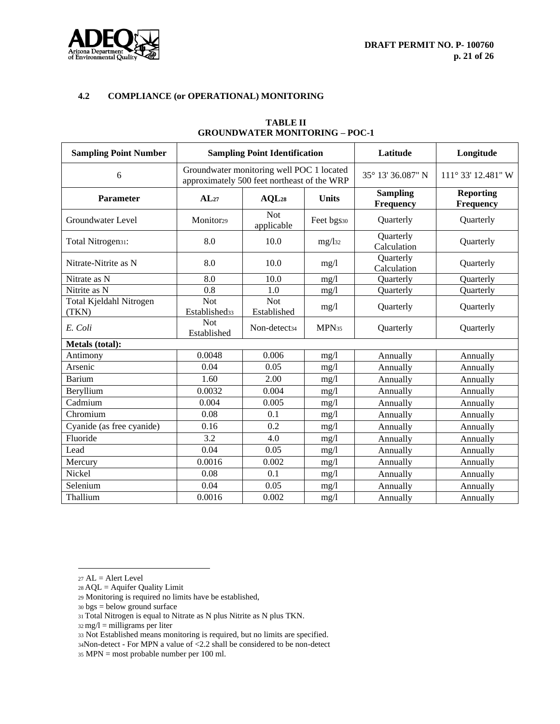

| <b>Sampling Point Number</b>     |                                         | <b>Sampling Point Identification</b>                                                     | Latitude          | Longitude                    |                               |
|----------------------------------|-----------------------------------------|------------------------------------------------------------------------------------------|-------------------|------------------------------|-------------------------------|
| 6                                |                                         | Groundwater monitoring well POC 1 located<br>approximately 500 feet northeast of the WRP | 35° 13′ 36.087" N | $111^{\circ}$ 33' 12.481" W  |                               |
| Parameter                        | AL <sub>27</sub>                        | AQL28                                                                                    | <b>Units</b>      | <b>Sampling</b><br>Frequency | <b>Reporting</b><br>Frequency |
| Groundwater Level                | Monitor <sub>29</sub>                   | <b>Not</b><br>applicable                                                                 | Feet bgs30        | Quarterly                    | Quarterly                     |
| Total Nitrogen <sub>31</sub> :   | 8.0                                     | 10.0                                                                                     | $mg/$ 32          | Quarterly<br>Calculation     | Quarterly                     |
| Nitrate-Nitrite as N             | 8.0                                     | 10.0                                                                                     | mg/1              | Quarterly<br>Calculation     | Quarterly                     |
| Nitrate as N                     | 8.0                                     | 10.0                                                                                     | mg/1              | Quarterly                    | Quarterly                     |
| Nitrite as N                     | 0.8                                     | 1.0                                                                                      | mg/1              | Quarterly                    | Quarterly                     |
| Total Kjeldahl Nitrogen<br>(TKN) | <b>Not</b><br>Established <sub>33</sub> | <b>Not</b><br>Established                                                                | mg/1              | Quarterly                    | Quarterly                     |
| E. Coli                          | <b>Not</b><br>Established               | Non-detect <sub>34</sub>                                                                 | MPN <sub>35</sub> | Quarterly                    | Quarterly                     |
| Metals (total):                  |                                         |                                                                                          |                   |                              |                               |
| Antimony                         | 0.0048                                  | 0.006                                                                                    | mg/1              | Annually                     | Annually                      |
| Arsenic                          | 0.04                                    | 0.05                                                                                     | mg/1              | Annually                     | Annually                      |
| <b>Barium</b>                    | 1.60                                    | 2.00                                                                                     | mg/1              | Annually                     | Annually                      |
| Beryllium                        | 0.0032                                  | 0.004                                                                                    | mg/1              | Annually                     | Annually                      |
| Cadmium                          | 0.004                                   | 0.005                                                                                    | mg/l              | Annually                     | Annually                      |
| Chromium                         | 0.08                                    | 0.1                                                                                      | mg/1              | Annually                     | Annually                      |
| Cyanide (as free cyanide)        | 0.16                                    | 0.2                                                                                      | mg/1              | Annually                     | Annually                      |
| Fluoride                         | 3.2                                     | 4.0                                                                                      | mg/1              | Annually                     | Annually                      |
| Lead                             | 0.04                                    | 0.05                                                                                     | mg/1              | Annually                     | Annually                      |
| Mercury                          | 0.0016                                  | 0.002                                                                                    | mg/1              | Annually                     | Annually                      |
| Nickel                           | 0.08                                    | 0.1                                                                                      | mg/1              | Annually                     | Annually                      |
| Selenium                         | 0.04                                    | 0.05                                                                                     | mg/1              | Annually                     | Annually                      |
| Thallium                         | 0.0016                                  | 0.002                                                                                    | mg/l              | Annually                     | Annually                      |

## **TABLE II GROUNDWATER MONITORING – POC-1**

<sup>28</sup> AQL = Aquifer Quality Limit

<sup>27</sup>  $AL =$  Alert Level

<sup>29</sup> Monitoring is required no limits have be established,

<sup>30</sup> bgs = below ground surface

<sup>31</sup> Total Nitrogen is equal to Nitrate as N plus Nitrite as N plus TKN.

 $32 \text{ mg/l} = \text{milligrams per liter}$ 

<sup>33</sup> Not Established means monitoring is required, but no limits are specified.

<sup>34</sup>Non-detect - For MPN a value of <2.2 shall be considered to be non-detect

<sup>35</sup> MPN = most probable number per 100 ml.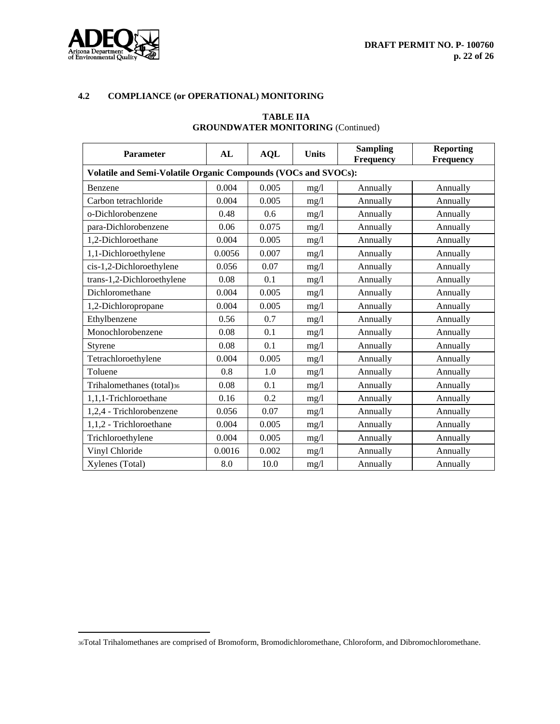

# **TABLE IIA GROUNDWATER MONITORING** (Continued)

| Parameter                                                      | AL     | <b>AQL</b> | <b>Units</b> | <b>Sampling</b><br>Frequency | <b>Reporting</b><br>Frequency |  |  |  |
|----------------------------------------------------------------|--------|------------|--------------|------------------------------|-------------------------------|--|--|--|
| Volatile and Semi-Volatile Organic Compounds (VOCs and SVOCs): |        |            |              |                              |                               |  |  |  |
| Benzene                                                        | 0.004  | 0.005      | mg/1         | Annually                     | Annually                      |  |  |  |
| Carbon tetrachloride                                           | 0.004  | 0.005      | mg/1         | Annually                     | Annually                      |  |  |  |
| o-Dichlorobenzene                                              | 0.48   | 0.6        | mg/1         | Annually                     | Annually                      |  |  |  |
| para-Dichlorobenzene                                           | 0.06   | 0.075      | mg/1         | Annually                     | Annually                      |  |  |  |
| 1,2-Dichloroethane                                             | 0.004  | 0.005      | mg/1         | Annually                     | Annually                      |  |  |  |
| 1,1-Dichloroethylene                                           | 0.0056 | 0.007      | mg/1         | Annually                     | Annually                      |  |  |  |
| cis-1,2-Dichloroethylene                                       | 0.056  | 0.07       | mg/1         | Annually                     | Annually                      |  |  |  |
| trans-1,2-Dichloroethylene                                     | 0.08   | 0.1        | mg/1         | Annually                     | Annually                      |  |  |  |
| Dichloromethane                                                | 0.004  | 0.005      | mg/1         | Annually                     | Annually                      |  |  |  |
| 1,2-Dichloropropane                                            | 0.004  | 0.005      | mg/1         | Annually                     | Annually                      |  |  |  |
| Ethylbenzene                                                   | 0.56   | 0.7        | mg/1         | Annually                     | Annually                      |  |  |  |
| Monochlorobenzene                                              | 0.08   | 0.1        | mg/1         | Annually                     | Annually                      |  |  |  |
| Styrene                                                        | 0.08   | 0.1        | mg/1         | Annually                     | Annually                      |  |  |  |
| Tetrachloroethylene                                            | 0.004  | 0.005      | mg/l         | Annually                     | Annually                      |  |  |  |
| Toluene                                                        | 0.8    | 1.0        | mg/1         | Annually                     | Annually                      |  |  |  |
| Trihalomethanes (total)36                                      | 0.08   | 0.1        | mg/l         | Annually                     | Annually                      |  |  |  |
| 1,1,1-Trichloroethane                                          | 0.16   | 0.2        | mg/1         | Annually                     | Annually                      |  |  |  |
| 1,2,4 - Trichlorobenzene                                       | 0.056  | 0.07       | mg/l         | Annually                     | Annually                      |  |  |  |
| 1,1,2 - Trichloroethane                                        | 0.004  | 0.005      | mg/1         | Annually                     | Annually                      |  |  |  |
| Trichloroethylene                                              | 0.004  | 0.005      | mg/l         | Annually                     | Annually                      |  |  |  |
| Vinyl Chloride                                                 | 0.0016 | 0.002      | mg/1         | Annually                     | Annually                      |  |  |  |
| Xylenes (Total)                                                | 8.0    | 10.0       | mg/l         | Annually                     | Annually                      |  |  |  |

<sup>36</sup>Total Trihalomethanes are comprised of Bromoform, Bromodichloromethane, Chloroform, and Dibromochloromethane.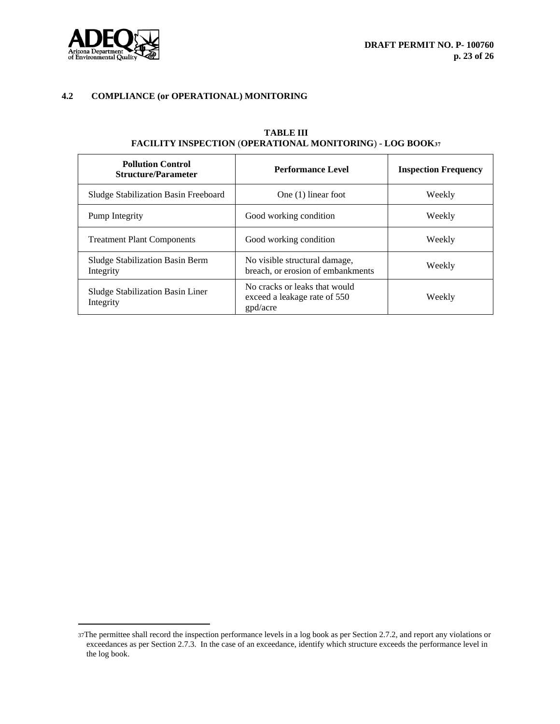

| <b>Pollution Control</b><br><b>Structure/Parameter</b> | <b>Performance Level</b>                                                  | <b>Inspection Frequency</b> |
|--------------------------------------------------------|---------------------------------------------------------------------------|-----------------------------|
| Sludge Stabilization Basin Freeboard                   | One $(1)$ linear foot                                                     | Weekly                      |
| Pump Integrity                                         | Good working condition                                                    | Weekly                      |
| <b>Treatment Plant Components</b>                      | Good working condition                                                    | Weekly                      |
| Sludge Stabilization Basin Berm<br>Integrity           | No visible structural damage,<br>breach, or erosion of embankments        | Weekly                      |
| Sludge Stabilization Basin Liner<br>Integrity          | No cracks or leaks that would<br>exceed a leakage rate of 550<br>gpd/acre | Weekly                      |

# **TABLE III FACILITY INSPECTION** (**OPERATIONAL MONITORING**) **- LOG BOOK<sup>37</sup>**

<sup>37</sup>The permittee shall record the inspection performance levels in a log book as per Section 2.7.2, and report any violations or exceedances as per Section 2.7.3. In the case of an exceedance, identify which structure exceeds the performance level in the log book.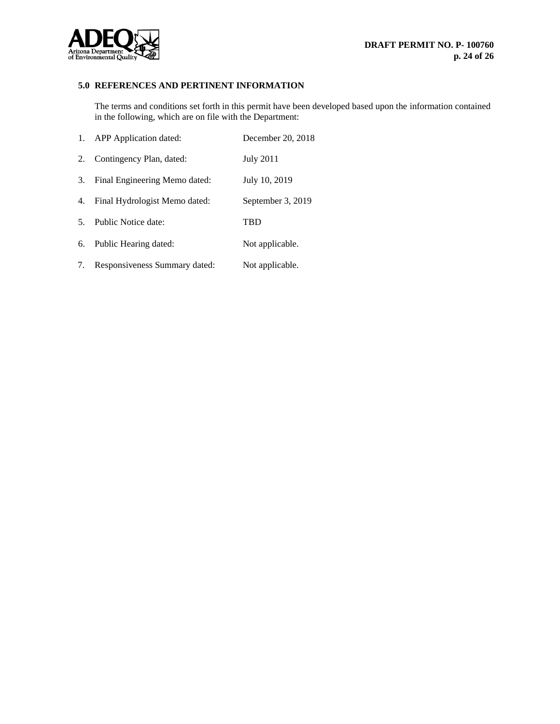

# **5.0 REFERENCES AND PERTINENT INFORMATION**

The terms and conditions set forth in this permit have been developed based upon the information contained in the following, which are on file with the Department:

|                | 1. APP Application dated:     | December 20, 2018 |
|----------------|-------------------------------|-------------------|
| 2.             | Contingency Plan, dated:      | <b>July 2011</b>  |
| 3.             | Final Engineering Memo dated: | July 10, 2019     |
| 4.             | Final Hydrologist Memo dated: | September 3, 2019 |
| 5 <sub>1</sub> | Public Notice date:           | <b>TBD</b>        |
|                | 6. Public Hearing dated:      | Not applicable.   |
| 7.             | Responsiveness Summary dated: | Not applicable.   |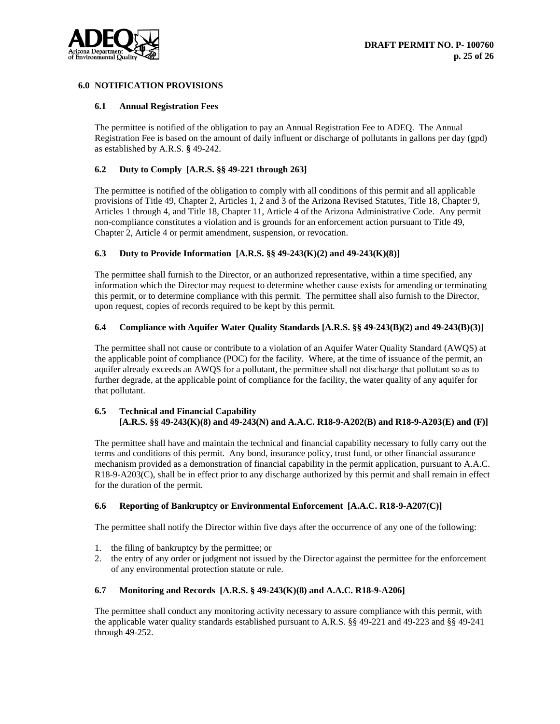

# **6.0 NOTIFICATION PROVISIONS**

#### **6.1 Annual Registration Fees**

The permittee is notified of the obligation to pay an Annual Registration Fee to ADEQ. The Annual Registration Fee is based on the amount of daily influent or discharge of pollutants in gallons per day (gpd) as established by A.R.S. **§** 49-242.

## **6.2 Duty to Comply [A.R.S. §§ 49-221 through 263]**

The permittee is notified of the obligation to comply with all conditions of this permit and all applicable provisions of Title 49, Chapter 2, Articles 1, 2 and 3 of the Arizona Revised Statutes, Title 18, Chapter 9, Articles 1 through 4, and Title 18, Chapter 11, Article 4 of the Arizona Administrative Code. Any permit non-compliance constitutes a violation and is grounds for an enforcement action pursuant to Title 49, Chapter 2, Article 4 or permit amendment, suspension, or revocation.

#### **6.3 Duty to Provide Information [A.R.S. §§ 49-243(K)(2) and 49-243(K)(8)]**

The permittee shall furnish to the Director, or an authorized representative, within a time specified, any information which the Director may request to determine whether cause exists for amending or terminating this permit, or to determine compliance with this permit. The permittee shall also furnish to the Director, upon request, copies of records required to be kept by this permit.

#### **6.4 Compliance with Aquifer Water Quality Standards [A.R.S. §§ 49-243(B)(2) and 49-243(B)(3)]**

The permittee shall not cause or contribute to a violation of an Aquifer Water Quality Standard (AWQS) at the applicable point of compliance (POC) for the facility. Where, at the time of issuance of the permit, an aquifer already exceeds an AWQS for a pollutant, the permittee shall not discharge that pollutant so as to further degrade, at the applicable point of compliance for the facility, the water quality of any aquifer for that pollutant.

# **6.5 Technical and Financial Capability [A.R.S. §§ 49-243(K)(8) and 49-243(N) and A.A.C. R18-9-A202(B) and R18-9-A203(E) and (F)]**

The permittee shall have and maintain the technical and financial capability necessary to fully carry out the terms and conditions of this permit. Any bond, insurance policy, trust fund, or other financial assurance mechanism provided as a demonstration of financial capability in the permit application, pursuant to A.A.C. R18-9-A203(C), shall be in effect prior to any discharge authorized by this permit and shall remain in effect for the duration of the permit.

#### **6.6 Reporting of Bankruptcy or Environmental Enforcement [A.A.C. R18-9-A207(C)]**

The permittee shall notify the Director within five days after the occurrence of any one of the following:

- 1. the filing of bankruptcy by the permittee; or
- 2. the entry of any order or judgment not issued by the Director against the permittee for the enforcement of any environmental protection statute or rule.

#### **6.7 Monitoring and Records [A.R.S. § 49-243(K)(8) and A.A.C. R18-9-A206]**

The permittee shall conduct any monitoring activity necessary to assure compliance with this permit, with the applicable water quality standards established pursuant to A.R.S. §§ 49-221 and 49-223 and §§ 49-241 through 49-252.